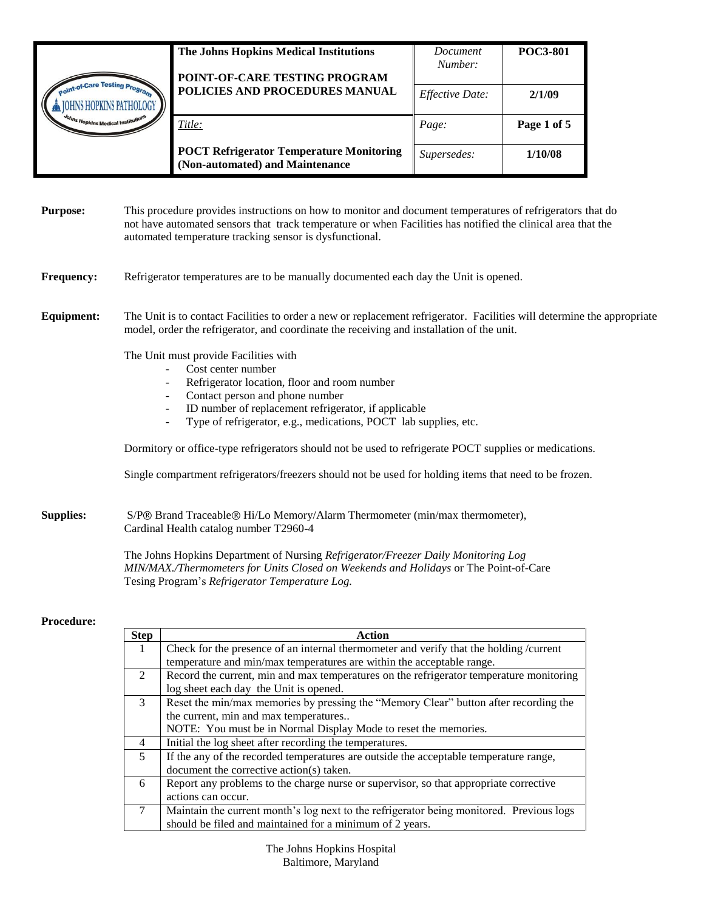|                               | The Johns Hopkins Medical Institutions                                             | Document<br>Number:    | <b>POC3-801</b> |
|-------------------------------|------------------------------------------------------------------------------------|------------------------|-----------------|
|                               | POINT-OF-CARE TESTING PROGRAM                                                      |                        |                 |
| int-of-Care Testing Pr.       | POLICIES AND PROCEDURES MANUAL                                                     | <i>Effective Date:</i> | 2/1/09          |
| ohns Hopkins Medical Institut | Title:                                                                             | Page:                  | Page 1 of 5     |
|                               | <b>POCT Refrigerator Temperature Monitoring</b><br>(Non-automated) and Maintenance | Supersedes:            | 1/10/08         |

| <b>Purpose:</b> | This procedure provides instructions on how to monitor and document temperatures of refrigerators that do    |
|-----------------|--------------------------------------------------------------------------------------------------------------|
|                 | not have automated sensors that track temperature or when Facilities has notified the clinical area that the |
|                 | automated temperature tracking sensor is dysfunctional.                                                      |

#### **Frequency:** Refrigerator temperatures are to be manually documented each day the Unit is opened.

**Equipment:** The Unit is to contact Facilities to order a new or replacement refrigerator. Facilities will determine the appropriate model, order the refrigerator, and coordinate the receiving and installation of the unit.

The Unit must provide Facilities with

- Cost center number
- Refrigerator location, floor and room number
- Contact person and phone number
- ID number of replacement refrigerator, if applicable
- Type of refrigerator, e.g., medications, POCT lab supplies, etc.

Dormitory or office-type refrigerators should not be used to refrigerate POCT supplies or medications.

Single compartment refrigerators/freezers should not be used for holding items that need to be frozen.

**Supplies:** S/P<sup>®</sup> Brand Traceable<sup>®</sup> Hi/Lo Memory/Alarm Thermometer (min/max thermometer), Cardinal Health catalog number T2960-4

> The Johns Hopkins Department of Nursing *Refrigerator/Freezer Daily Monitoring Log MIN/MAX./Thermometers for Units Closed on Weekends and Holidays* or The Point-of-Care Tesing Program's *Refrigerator Temperature Log.*

#### **Procedure:**

| <b>Step</b>    | Action                                                                                   |
|----------------|------------------------------------------------------------------------------------------|
| 1.             | Check for the presence of an internal thermometer and verify that the holding /current   |
|                | temperature and min/max temperatures are within the acceptable range.                    |
| 2              | Record the current, min and max temperatures on the refrigerator temperature monitoring  |
|                | log sheet each day the Unit is opened.                                                   |
| $\overline{3}$ | Reset the min/max memories by pressing the "Memory Clear" button after recording the     |
|                | the current, min and max temperatures                                                    |
|                | NOTE: You must be in Normal Display Mode to reset the memories.                          |
| $\overline{4}$ | Initial the log sheet after recording the temperatures.                                  |
| $\mathfrak{S}$ | If the any of the recorded temperatures are outside the acceptable temperature range,    |
|                | document the corrective action(s) taken.                                                 |
| 6              | Report any problems to the charge nurse or supervisor, so that appropriate corrective    |
|                | actions can occur.                                                                       |
|                | Maintain the current month's log next to the refrigerator being monitored. Previous logs |
|                | should be filed and maintained for a minimum of 2 years.                                 |

The Johns Hopkins Hospital Baltimore, Maryland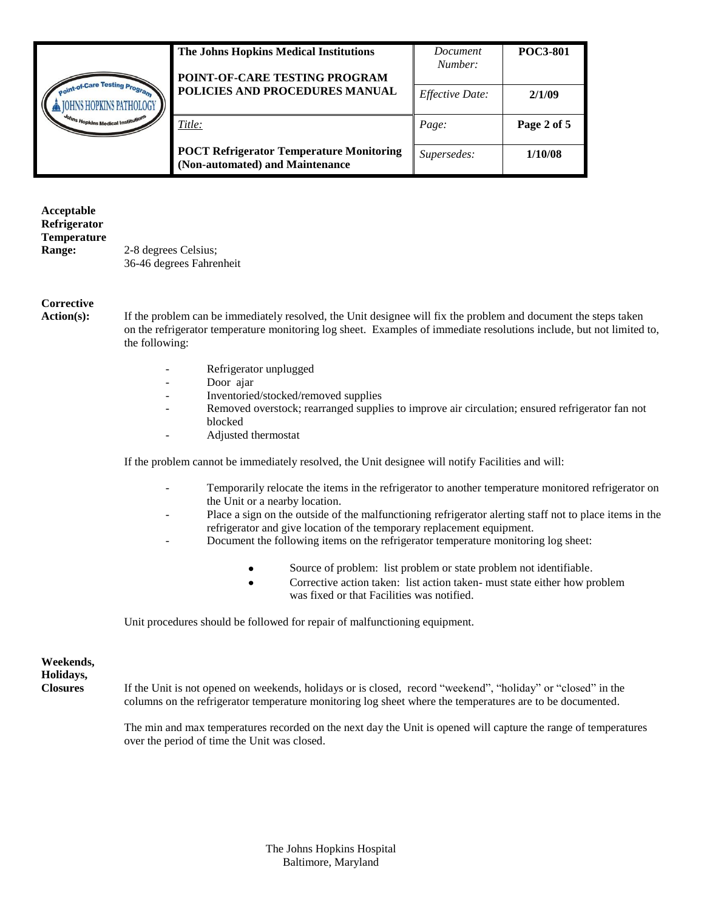|                                                               | The Johns Hopkins Medical Institutions<br>POINT-OF-CARE TESTING PROGRAM            | Document<br>Number: | <b>POC3-801</b> |
|---------------------------------------------------------------|------------------------------------------------------------------------------------|---------------------|-----------------|
| <b>Jint-of-Care Testing Pro.</b><br><b>SHOPKINS PATHOLOGY</b> | POLICIES AND PROCEDURES MANUAL                                                     | Effective Date:     | 2/1/09          |
| h <sub>ins Hopkins Medical Institution</sub>                  | Title:                                                                             | Page:               | Page 2 of 5     |
|                                                               | <b>POCT Refrigerator Temperature Monitoring</b><br>(Non-automated) and Maintenance | Supersedes:         | 1/10/08         |

**Acceptable Refrigerator Temperature Range:** 2-8 degrees Celsius; 36-46 degrees Fahrenheit

### **Corrective**

**Action(s):** If the problem can be immediately resolved, the Unit designee will fix the problem and document the steps taken on the refrigerator temperature monitoring log sheet. Examples of immediate resolutions include, but not limited to, the following:

- Refrigerator unplugged
- Door ajar
- Inventoried/stocked/removed supplies
- Removed overstock; rearranged supplies to improve air circulation; ensured refrigerator fan not blocked
- Adjusted thermostat

If the problem cannot be immediately resolved, the Unit designee will notify Facilities and will:

- Temporarily relocate the items in the refrigerator to another temperature monitored refrigerator on the Unit or a nearby location.
- Place a sign on the outside of the malfunctioning refrigerator alerting staff not to place items in the refrigerator and give location of the temporary replacement equipment.
- Document the following items on the refrigerator temperature monitoring log sheet:
	- Source of problem: list problem or state problem not identifiable.  $\bullet$
	- $\bullet$ Corrective action taken: list action taken- must state either how problem was fixed or that Facilities was notified.

Unit procedures should be followed for repair of malfunctioning equipment.

**Weekends, Holidays,** 

**Closures** If the Unit is not opened on weekends, holidays or is closed, record "weekend", "holiday" or "closed" in the columns on the refrigerator temperature monitoring log sheet where the temperatures are to be documented.

> The min and max temperatures recorded on the next day the Unit is opened will capture the range of temperatures over the period of time the Unit was closed.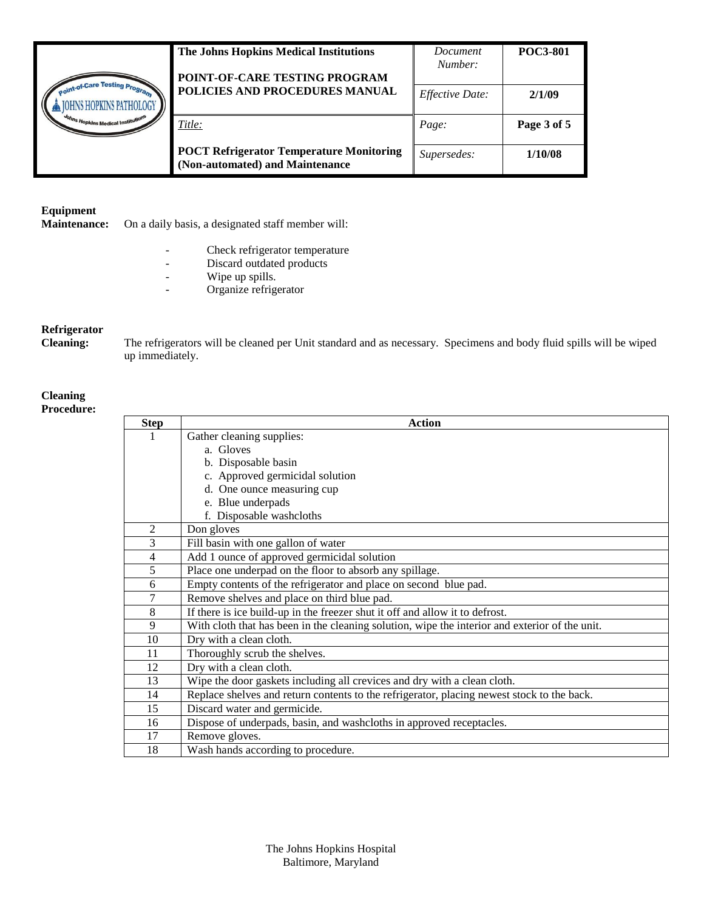|                                                          | The Johns Hopkins Medical Institutions                                             | Document<br>Number: | <b>POC3-801</b> |
|----------------------------------------------------------|------------------------------------------------------------------------------------|---------------------|-----------------|
|                                                          | POINT-OF-CARE TESTING PROGRAM                                                      |                     |                 |
| int-of-Care Testing Pron<br>HNS HOPKINS PATHOLOGY        | POLICIES AND PROCEDURES MANUAL                                                     | Effective Date:     | 2/1/09          |
| <sup>oh</sup> ns Hopkins Medical Institutio <sup>t</sup> | Title:                                                                             | Page:               | Page 3 of 5     |
|                                                          | <b>POCT Refrigerator Temperature Monitoring</b><br>(Non-automated) and Maintenance | Supersedes:         | 1/10/08         |

# **Equipment**

On a daily basis, a designated staff member will:

- Check refrigerator temperature
- Discard outdated products
- Wipe up spills.
- Organize refrigerator

### **Refrigerator**

**Cleaning:** The refrigerators will be cleaned per Unit standard and as necessary. Specimens and body fluid spills will be wiped up immediately.

## **Cleaning**

**Procedure:**

| <b>Step</b>    | <b>Action</b>                                                                                  |
|----------------|------------------------------------------------------------------------------------------------|
|                | Gather cleaning supplies:                                                                      |
|                | a. Gloves                                                                                      |
|                | b. Disposable basin                                                                            |
|                | c. Approved germicidal solution                                                                |
|                | d. One ounce measuring cup                                                                     |
|                | e. Blue underpads                                                                              |
|                | f. Disposable washcloths                                                                       |
| 2              | Don gloves                                                                                     |
| 3              | Fill basin with one gallon of water                                                            |
| $\overline{4}$ | Add 1 ounce of approved germicidal solution                                                    |
| $\overline{5}$ | Place one underpad on the floor to absorb any spillage.                                        |
| 6              | Empty contents of the refrigerator and place on second blue pad.                               |
| 7              | Remove shelves and place on third blue pad.                                                    |
| 8              | If there is ice build-up in the freezer shut it off and allow it to defrost.                   |
| 9              | With cloth that has been in the cleaning solution, wipe the interior and exterior of the unit. |
| 10             | Dry with a clean cloth.                                                                        |
| 11             | Thoroughly scrub the shelves.                                                                  |
| 12             | Dry with a clean cloth.                                                                        |
| 13             | Wipe the door gaskets including all crevices and dry with a clean cloth.                       |
| 14             | Replace shelves and return contents to the refrigerator, placing newest stock to the back.     |
| 15             | Discard water and germicide.                                                                   |
| 16             | Dispose of underpads, basin, and washcloths in approved receptacles.                           |
| 17             | Remove gloves.                                                                                 |
| 18             | Wash hands according to procedure.                                                             |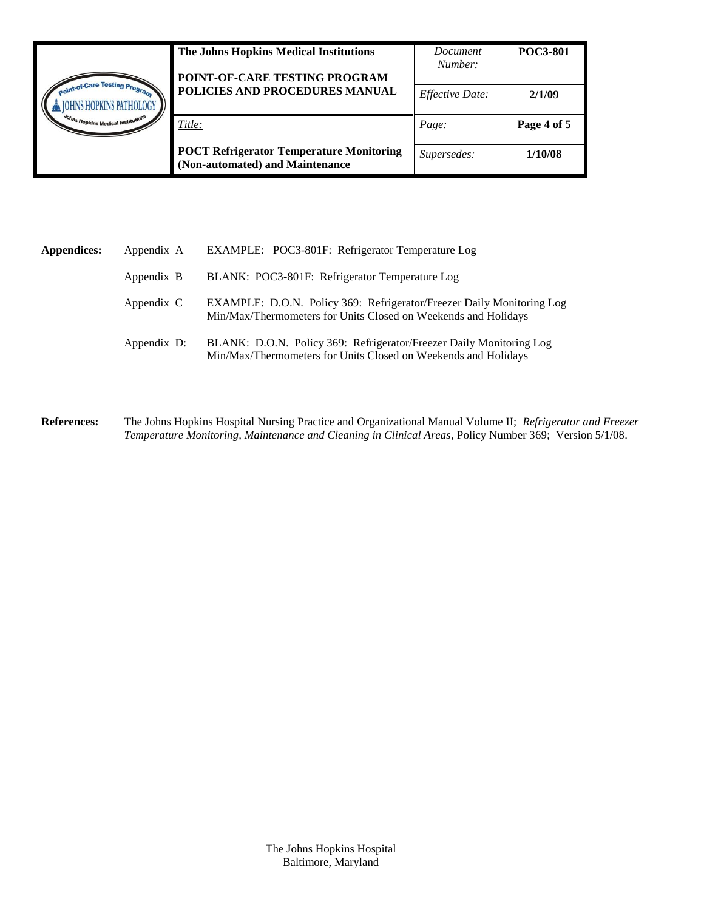|                                                         | The Johns Hopkins Medical Institutions<br>POINT-OF-CARE TESTING PROGRAM            | Document<br>Number: | <b>POC3-801</b> |
|---------------------------------------------------------|------------------------------------------------------------------------------------|---------------------|-----------------|
| int-of-Care Testing Pro<br><b>INS HOPKINS PATHOLOGY</b> | POLICIES AND PROCEDURES MANUAL                                                     | Effective Date:     | 2/1/09          |
| <sup>toh</sup> ns Hopkins Medical Institution           | Title:                                                                             | Page:               | Page 4 of 5     |
|                                                         | <b>POCT Refrigerator Temperature Monitoring</b><br>(Non-automated) and Maintenance | Supersedes:         | 1/10/08         |

| <b>Appendices:</b> | Appendix A  | EXAMPLE: POC3-801F: Refrigerator Temperature Log                                                                                               |
|--------------------|-------------|------------------------------------------------------------------------------------------------------------------------------------------------|
|                    | Appendix B  | BLANK: POC3-801F: Refrigerator Temperature Log                                                                                                 |
|                    | Appendix C  | <b>EXAMPLE: D.O.N. Policy 369: Refrigerator/Freezer Daily Monitoring Log</b><br>Min/Max/Thermometers for Units Closed on Weekends and Holidays |
|                    | Appendix D: | BLANK: D.O.N. Policy 369: Refrigerator/Freezer Daily Monitoring Log<br>Min/Max/Thermometers for Units Closed on Weekends and Holidays          |

**References:** The Johns Hopkins Hospital Nursing Practice and Organizational Manual Volume II; *Refrigerator and Freezer Temperature Monitoring, Maintenance and Cleaning in Clinical Areas,* Policy Number 369; Version 5/1/08.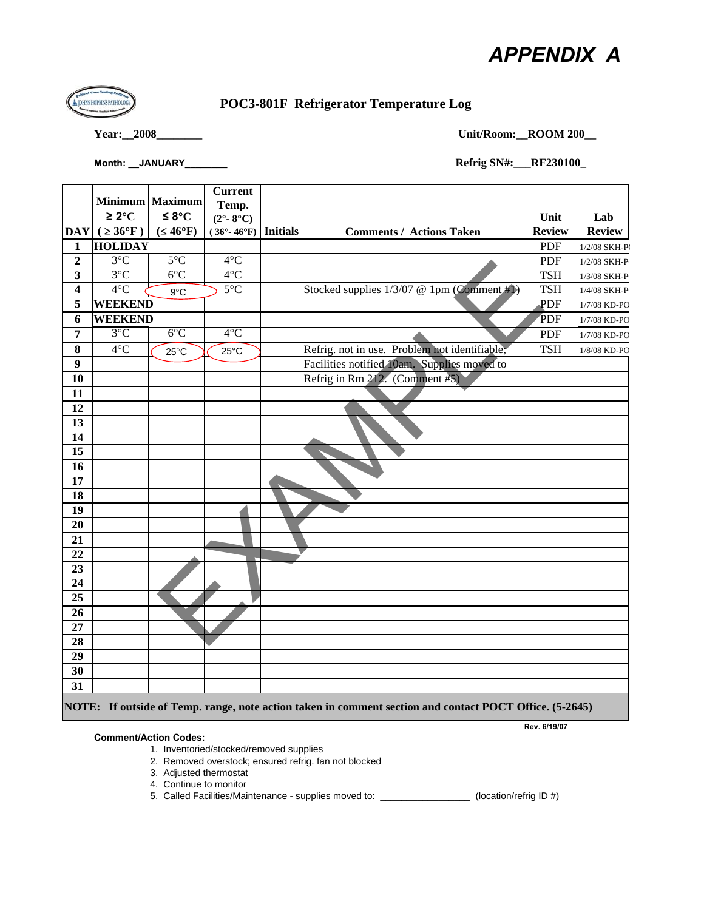# *APPENDIX A*

 $\overline{\phantom{0}}$ 



## **POC3-801F Refrigerator Temperature Log**

**Year:\_\_2008\_\_\_\_\_\_\_\_ Unit/Room:\_\_ROOM 200\_\_**

| Month: JANUARY | <b>Refrig SN#: RF230100_</b> |  |
|----------------|------------------------------|--|
|----------------|------------------------------|--|

|                  | Minimum Maximum                   |                 | <b>Current</b>             |                                                                                                         |               |                     |
|------------------|-----------------------------------|-----------------|----------------------------|---------------------------------------------------------------------------------------------------------|---------------|---------------------|
|                  |                                   |                 | Temp.                      |                                                                                                         |               |                     |
|                  | $\geq 2^{\circ}C$                 | ≤ 8°C           | $(2^{\circ} - 8^{\circ}C)$ |                                                                                                         | Unit          | Lab                 |
|                  | $ \text{DAY}  (\geq 36^{\circ}F)$ | $(46^{\circ}F)$ | $(36°-46°F)$ Initials      | <b>Comments / Actions Taken</b>                                                                         | <b>Review</b> | <b>Review</b>       |
| 1                | <b>HOLIDAY</b>                    |                 |                            |                                                                                                         | <b>PDF</b>    | 1/2/08 SKH-P        |
| $\boldsymbol{2}$ | $3^{\circ}C$                      | $5^{\circ}$ C   | $4^{\circ}C$               |                                                                                                         | <b>PDF</b>    | 1/2/08 SKH-P        |
| 3                | $3^{\circ}$ C                     | $6^{\circ}$ C   | $4^{\circ}C$               |                                                                                                         | <b>TSH</b>    | 1/3/08 SKH-P        |
| 4                | $4^{\circ}$ C                     | $9^{\circ}$ C   | $5^{\circ}$ C              | Stocked supplies 1/3/07 @ 1pm (Comment #1)                                                              | <b>TSH</b>    | 1/4/08 SKH-P        |
| 5                | <b>WEEKEND</b>                    |                 |                            |                                                                                                         | PDF           | 1/7/08 KD-PO        |
| 6                | <b>WEEKEND</b>                    |                 |                            |                                                                                                         | PDF           | $1/7/08$ KD-PO $\,$ |
| 7                | $3^{\circ}C$                      | $6^{\circ}$ C   | $4^{\circ}C$               |                                                                                                         | <b>PDF</b>    | 1/7/08 KD-PO        |
| 8                | $4^{\circ}$ C                     | $25^{\circ}$ C  | $25^{\circ}$ C             | Refrig. not in use. Problem not identifiable;                                                           | <b>TSH</b>    | 1/8/08 KD-PO        |
| $\boldsymbol{9}$ |                                   |                 |                            | Facilities notified 10am. Supplies moved to                                                             |               |                     |
| 10               |                                   |                 |                            | Refrig in Rm 212. (Comment #5)                                                                          |               |                     |
| 11               |                                   |                 |                            |                                                                                                         |               |                     |
| 12               |                                   |                 |                            |                                                                                                         |               |                     |
| 13               |                                   |                 |                            |                                                                                                         |               |                     |
| 14               |                                   |                 |                            |                                                                                                         |               |                     |
| 15               |                                   |                 |                            |                                                                                                         |               |                     |
| 16               |                                   |                 |                            |                                                                                                         |               |                     |
| 17               |                                   |                 |                            |                                                                                                         |               |                     |
| 18               |                                   |                 |                            |                                                                                                         |               |                     |
| 19               |                                   |                 |                            |                                                                                                         |               |                     |
| 20               |                                   |                 |                            |                                                                                                         |               |                     |
| 21<br>22         |                                   |                 |                            |                                                                                                         |               |                     |
| 23               |                                   |                 |                            |                                                                                                         |               |                     |
| 24               |                                   |                 |                            |                                                                                                         |               |                     |
| $\overline{25}$  |                                   |                 |                            |                                                                                                         |               |                     |
| 26               |                                   |                 |                            |                                                                                                         |               |                     |
| 27               |                                   |                 |                            |                                                                                                         |               |                     |
| 28               |                                   |                 |                            |                                                                                                         |               |                     |
| 29               |                                   |                 |                            |                                                                                                         |               |                     |
| 30               |                                   |                 |                            |                                                                                                         |               |                     |
| 31               |                                   |                 |                            |                                                                                                         |               |                     |
|                  |                                   |                 |                            | NOTE: If outside of Temp. range, note action taken in comment section and contact POCT Office. (5-2645) |               |                     |

#### **Comment/Action Codes:**

1. Inventoried/stocked/removed supplies

- 2. Removed overstock; ensured refrig. fan not blocked
- 3. Adjusted thermostat
- 4. Continue to monitor

5. Called Facilities/Maintenance - supplies moved to: \_\_\_\_\_\_\_\_\_\_\_\_\_\_\_\_\_ (location/refrig ID #)

**Rev. 6/19/07**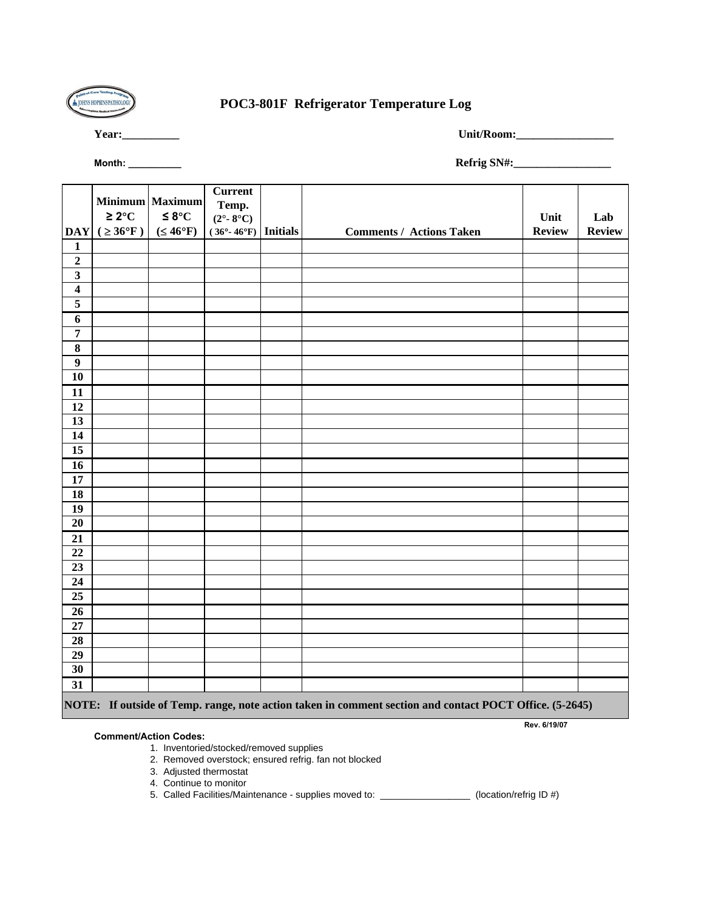

## **POC3-801F Refrigerator Temperature Log**

**Year:\_\_\_\_\_\_\_\_\_\_ Unit/Room:\_\_\_\_\_\_\_\_\_\_\_\_\_\_\_\_\_**

**Rev. 6/19/07**

**Month: \_\_\_\_\_\_\_\_\_\_ Refrig SN#:\_\_\_\_\_\_\_\_\_\_\_\_\_\_\_\_\_**

|                         |                        |                 | <b>Current</b>             |                                                                                                         |               |               |
|-------------------------|------------------------|-----------------|----------------------------|---------------------------------------------------------------------------------------------------------|---------------|---------------|
|                         |                        | Minimum Maximum | Temp.                      |                                                                                                         |               |               |
|                         | $\geq 2^{\circ}C$      | $≤$ 8 $°C$      | $(2^{\circ} - 8^{\circ}C)$ |                                                                                                         | Unit          | Lab           |
| <b>DAY</b>              | $( \geq 36^{\circ}F )$ | $(46^{\circ}F)$ | $(36°-46°F)$ Initials      | <b>Comments / Actions Taken</b>                                                                         | <b>Review</b> | <b>Review</b> |
| $\mathbf{1}$            |                        |                 |                            |                                                                                                         |               |               |
| $\overline{2}$          |                        |                 |                            |                                                                                                         |               |               |
| $\overline{\mathbf{3}}$ |                        |                 |                            |                                                                                                         |               |               |
| $\overline{\mathbf{4}}$ |                        |                 |                            |                                                                                                         |               |               |
| $\overline{\mathbf{5}}$ |                        |                 |                            |                                                                                                         |               |               |
| $\boldsymbol{6}$        |                        |                 |                            |                                                                                                         |               |               |
| $\overline{7}$          |                        |                 |                            |                                                                                                         |               |               |
| $\overline{\mathbf{8}}$ |                        |                 |                            |                                                                                                         |               |               |
| $\overline{9}$          |                        |                 |                            |                                                                                                         |               |               |
| $\overline{10}$         |                        |                 |                            |                                                                                                         |               |               |
| 11                      |                        |                 |                            |                                                                                                         |               |               |
| 12                      |                        |                 |                            |                                                                                                         |               |               |
| $\overline{13}$         |                        |                 |                            |                                                                                                         |               |               |
| $\overline{14}$         |                        |                 |                            |                                                                                                         |               |               |
| 15                      |                        |                 |                            |                                                                                                         |               |               |
| $\overline{16}$         |                        |                 |                            |                                                                                                         |               |               |
| 17                      |                        |                 |                            |                                                                                                         |               |               |
| $\overline{18}$         |                        |                 |                            |                                                                                                         |               |               |
| 19                      |                        |                 |                            |                                                                                                         |               |               |
| 20                      |                        |                 |                            |                                                                                                         |               |               |
| 21                      |                        |                 |                            |                                                                                                         |               |               |
| $\overline{22}$         |                        |                 |                            |                                                                                                         |               |               |
| 23                      |                        |                 |                            |                                                                                                         |               |               |
| 24                      |                        |                 |                            |                                                                                                         |               |               |
| 25                      |                        |                 |                            |                                                                                                         |               |               |
| $\overline{26}$         |                        |                 |                            |                                                                                                         |               |               |
| $\overline{27}$         |                        |                 |                            |                                                                                                         |               |               |
| 28                      |                        |                 |                            |                                                                                                         |               |               |
| 29                      |                        |                 |                            |                                                                                                         |               |               |
| $\overline{30}$         |                        |                 |                            |                                                                                                         |               |               |
| 31                      |                        |                 |                            |                                                                                                         |               |               |
|                         |                        |                 |                            | NOTE: If outside of Temp. range, note action taken in comment section and contact POCT Office. (5-2645) |               |               |

#### **Comment/Action Codes:**

1. Inventoried/stocked/removed supplies

- 2. Removed overstock; ensured refrig. fan not blocked
- 3. Adjusted thermostat
- 4. Continue to monitor

5. Called Facilities/Maintenance - supplies moved to: \_\_\_\_\_\_\_\_\_\_\_\_\_\_\_\_\_ (location/refrig ID #)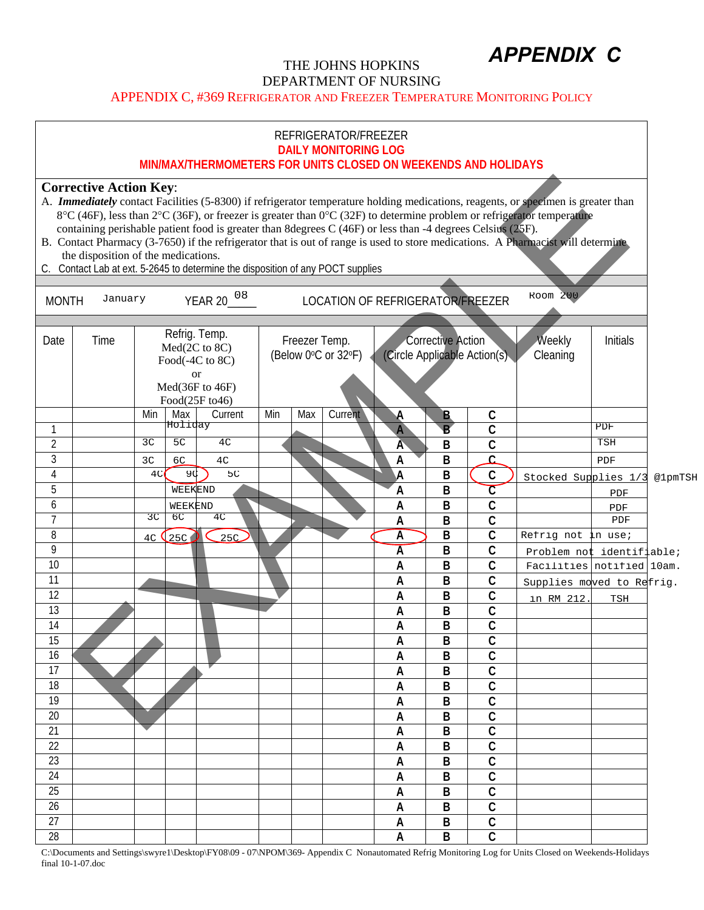# *APPENDIX C*

## THE JOHNS HOPKINS DEPARTMENT OF NURSING

APPENDIX C, #369 REFRIGERATOR AND FREEZER TEMPERATURE MONITORING POLICY

|                 |                                                                                                                                                                                                                                                                    |                |                | MIN/MAX/THERMOMETERS FOR UNITS CLOSED ON WEEKENDS AND HOLIDAYS                        |     |     | REFRIGERATOR/FREEZER<br><b>DAILY MONITORING LOG</b> |                                  |                   |                              |                                                                                                                                                                                                                                                                                                                                                                                                      |            |         |
|-----------------|--------------------------------------------------------------------------------------------------------------------------------------------------------------------------------------------------------------------------------------------------------------------|----------------|----------------|---------------------------------------------------------------------------------------|-----|-----|-----------------------------------------------------|----------------------------------|-------------------|------------------------------|------------------------------------------------------------------------------------------------------------------------------------------------------------------------------------------------------------------------------------------------------------------------------------------------------------------------------------------------------------------------------------------------------|------------|---------|
| C.              | <b>Corrective Action Key:</b><br>containing perishable patient food is greater than 8degrees C (46F) or less than -4 degrees Celsius (25F).<br>the disposition of the medications.<br>Contact Lab at ext. 5-2645 to determine the disposition of any POCT supplies |                |                |                                                                                       |     |     |                                                     |                                  |                   |                              | A. <b>Immediately</b> contact Facilities (5-8300) if refrigerator temperature holding medications, reagents, or specimen is greater than<br>8°C (46F), less than 2°C (36F), or freezer is greater than 0°C (32F) to determine problem or refrigerator temperature<br>B. Contact Pharmacy (3-7650) if the refrigerator that is out of range is used to store medications. A Pharmacist will determine |            |         |
| <b>MONTH</b>    | January                                                                                                                                                                                                                                                            |                |                | YEAR 20 <sup>08</sup>                                                                 |     |     |                                                     | LOCATION OF REFRIGERATOR/FREEZER |                   |                              | Room 200                                                                                                                                                                                                                                                                                                                                                                                             |            |         |
| Date            | Time                                                                                                                                                                                                                                                               |                |                | Refrig. Temp.<br>Med(2C to 8C)<br>Food(-4C to 8C)<br><sub>or</sub><br>Med(36F to 46F) |     |     | Freezer Temp.<br>(Below 0°C or 32°F)                |                                  | Corrective Action | (Circle Applicable Action(s) | Weekly<br>Cleaning                                                                                                                                                                                                                                                                                                                                                                                   | Initials   |         |
|                 |                                                                                                                                                                                                                                                                    | Min            | Max            | Food(25F to46)<br>Current                                                             | Min | Max | Current                                             | A                                | B                 | С                            |                                                                                                                                                                                                                                                                                                                                                                                                      |            |         |
| 1               |                                                                                                                                                                                                                                                                    |                | Holiday        |                                                                                       |     |     |                                                     | $\overline{A}$                   | $\overline{B}$    | C                            |                                                                                                                                                                                                                                                                                                                                                                                                      | PDF        |         |
| $\overline{2}$  |                                                                                                                                                                                                                                                                    | 3C             | 5 <sub>C</sub> | 4 <sub>C</sub>                                                                        |     |     |                                                     | Ā                                | B                 | $\mathsf{C}$                 |                                                                                                                                                                                                                                                                                                                                                                                                      | <b>TSH</b> |         |
| $\overline{3}$  |                                                                                                                                                                                                                                                                    | 3 <sub>C</sub> | 6C             | 4 <sub>C</sub>                                                                        |     |     |                                                     | A                                | B                 | Ċ                            |                                                                                                                                                                                                                                                                                                                                                                                                      | PDF        |         |
| 4               |                                                                                                                                                                                                                                                                    | 4C             | 9C             | 5C                                                                                    |     |     |                                                     | А                                | B                 | C                            | Stocked Supplies 1/3                                                                                                                                                                                                                                                                                                                                                                                 |            | @1pmTSH |
| 5               |                                                                                                                                                                                                                                                                    |                | WEEKEND        |                                                                                       |     |     |                                                     | $\mathsf{A}$                     | B                 | $\overline{\mathsf{C}}$      |                                                                                                                                                                                                                                                                                                                                                                                                      | PDF        |         |
| 6               |                                                                                                                                                                                                                                                                    |                | WEEKEND        |                                                                                       |     |     |                                                     | A                                | B                 | C                            |                                                                                                                                                                                                                                                                                                                                                                                                      | PDF        |         |
| 7               |                                                                                                                                                                                                                                                                    | 3C             | бC             | 4 <sub>C</sub>                                                                        |     |     |                                                     | A                                | B                 | $\mathsf{C}$                 |                                                                                                                                                                                                                                                                                                                                                                                                      | PDF        |         |
| 8               |                                                                                                                                                                                                                                                                    | 4C             | 25C            | 25C                                                                                   |     |     |                                                     | $\overline{A}$                   | B                 | C                            | Refrig not in use;                                                                                                                                                                                                                                                                                                                                                                                   |            |         |
| 9               |                                                                                                                                                                                                                                                                    |                |                |                                                                                       |     |     |                                                     | А                                | B                 | $\mathsf{C}$                 | Problem not identifiable;                                                                                                                                                                                                                                                                                                                                                                            |            |         |
| 10              |                                                                                                                                                                                                                                                                    |                |                |                                                                                       |     |     |                                                     | A                                | B                 | $\mathsf{C}$                 | Facilities notified 10am.                                                                                                                                                                                                                                                                                                                                                                            |            |         |
| 11              |                                                                                                                                                                                                                                                                    |                |                |                                                                                       |     |     |                                                     | A                                | B                 | C                            | Supplies moved to Refrig.                                                                                                                                                                                                                                                                                                                                                                            |            |         |
| 12              |                                                                                                                                                                                                                                                                    |                |                |                                                                                       |     |     |                                                     | A                                | B                 | C                            | in RM 212                                                                                                                                                                                                                                                                                                                                                                                            | TSH        |         |
| 13<br>14        |                                                                                                                                                                                                                                                                    |                |                |                                                                                       |     |     |                                                     | A                                | B                 | C<br>$\overline{C}$          |                                                                                                                                                                                                                                                                                                                                                                                                      |            |         |
| 15              |                                                                                                                                                                                                                                                                    |                |                |                                                                                       |     |     |                                                     | A<br>A                           | B<br>B            | $\mathsf C$                  |                                                                                                                                                                                                                                                                                                                                                                                                      |            |         |
| 16              |                                                                                                                                                                                                                                                                    |                |                |                                                                                       |     |     |                                                     | A                                | B                 | C                            |                                                                                                                                                                                                                                                                                                                                                                                                      |            |         |
| 17              |                                                                                                                                                                                                                                                                    |                |                |                                                                                       |     |     |                                                     | A                                | B                 | C                            |                                                                                                                                                                                                                                                                                                                                                                                                      |            |         |
| 18              |                                                                                                                                                                                                                                                                    |                |                |                                                                                       |     |     |                                                     | A                                | B                 | C                            |                                                                                                                                                                                                                                                                                                                                                                                                      |            |         |
| 19              |                                                                                                                                                                                                                                                                    |                |                |                                                                                       |     |     |                                                     | A                                | B                 | C                            |                                                                                                                                                                                                                                                                                                                                                                                                      |            |         |
| 20              |                                                                                                                                                                                                                                                                    |                |                |                                                                                       |     |     |                                                     | A                                | B                 | C                            |                                                                                                                                                                                                                                                                                                                                                                                                      |            |         |
| 21              |                                                                                                                                                                                                                                                                    |                |                |                                                                                       |     |     |                                                     | A                                | B                 | $\overline{C}$               |                                                                                                                                                                                                                                                                                                                                                                                                      |            |         |
| 22              |                                                                                                                                                                                                                                                                    |                |                |                                                                                       |     |     |                                                     | A                                | B                 | С                            |                                                                                                                                                                                                                                                                                                                                                                                                      |            |         |
| 23              |                                                                                                                                                                                                                                                                    |                |                |                                                                                       |     |     |                                                     | A                                | B                 | С                            |                                                                                                                                                                                                                                                                                                                                                                                                      |            |         |
| 24              |                                                                                                                                                                                                                                                                    |                |                |                                                                                       |     |     |                                                     | A                                | B                 | C                            |                                                                                                                                                                                                                                                                                                                                                                                                      |            |         |
| 25              |                                                                                                                                                                                                                                                                    |                |                |                                                                                       |     |     |                                                     | A                                | B                 | $\mathsf{C}$                 |                                                                                                                                                                                                                                                                                                                                                                                                      |            |         |
| 26              |                                                                                                                                                                                                                                                                    |                |                |                                                                                       |     |     |                                                     | A                                | B                 | C                            |                                                                                                                                                                                                                                                                                                                                                                                                      |            |         |
| $\overline{27}$ |                                                                                                                                                                                                                                                                    |                |                |                                                                                       |     |     |                                                     | A                                | B                 | $\mathsf C$                  |                                                                                                                                                                                                                                                                                                                                                                                                      |            |         |
| 28              |                                                                                                                                                                                                                                                                    |                |                |                                                                                       |     |     |                                                     | A                                | B                 | C                            |                                                                                                                                                                                                                                                                                                                                                                                                      |            |         |

C:\Documents and Settings\swyre1\Desktop\FY08\09 - 07\NPOM\369- Appendix C Nonautomated Refrig Monitoring Log for Units Closed on Weekends-Holidays final 10-1-07.doc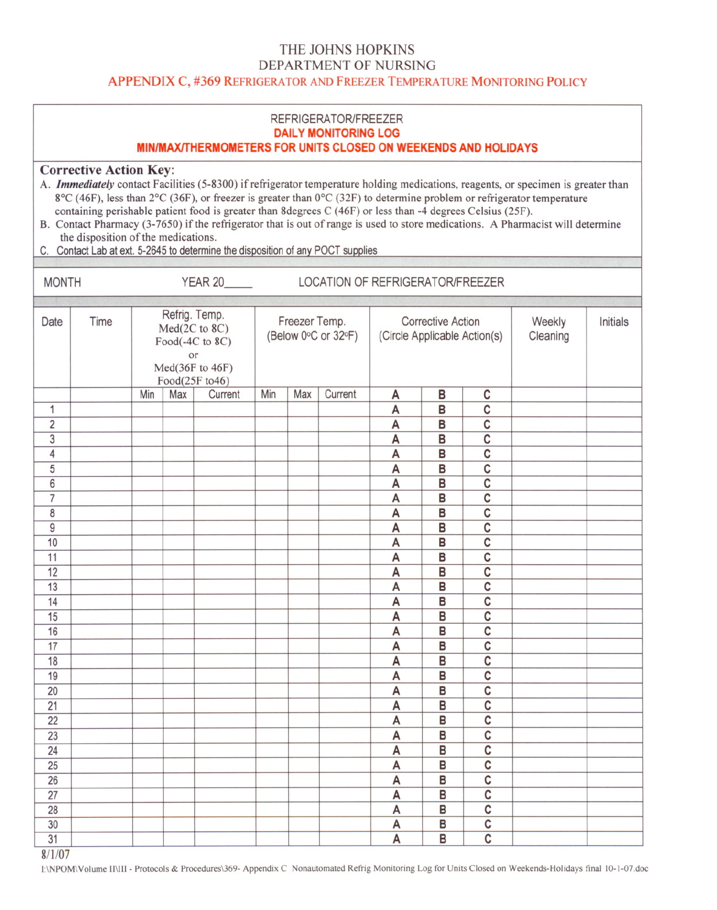### THE JOHNS HOPKINS DEPARTMENT OF NURSING APPENDIX C, #369 REFRIGERATOR AND FREEZER TEMPERATURE MONITORING POLICY

|                     |                                                                                                                                                                                                                                                                       |                                                                                              |     | MIN/MAX/THERMOMETERS FOR UNITS CLOSED ON WEEKENDS AND HOLIDAYS |     |                                      | REFRIGERATOR/FREEZER<br><b>DAILY MONITORING LOG</b> |                                  |                                                          |             |                                                                                                                                                                                                                                                                                                                                                                                               |                    |          |
|---------------------|-----------------------------------------------------------------------------------------------------------------------------------------------------------------------------------------------------------------------------------------------------------------------|----------------------------------------------------------------------------------------------|-----|----------------------------------------------------------------|-----|--------------------------------------|-----------------------------------------------------|----------------------------------|----------------------------------------------------------|-------------|-----------------------------------------------------------------------------------------------------------------------------------------------------------------------------------------------------------------------------------------------------------------------------------------------------------------------------------------------------------------------------------------------|--------------------|----------|
|                     | <b>Corrective Action Key:</b><br>containing perishable patient food is greater than 8degrees C (46F) or less than -4 degrees Celsius (25F).<br>the disposition of the medications.<br>C. Contact Lab at ext. 5-2645 to determine the disposition of any POCT supplies |                                                                                              |     |                                                                |     |                                      |                                                     |                                  |                                                          |             | A. Immediately contact Facilities (5-8300) if refrigerator temperature holding medications, reagents, or specimen is greater than<br>8°C (46F), less than 2°C (36F), or freezer is greater than 0°C (32F) to determine problem or refrigerator temperature<br>B. Contact Pharmacy (3-7650) if the refrigerator that is out of range is used to store medications. A Pharmacist will determine |                    |          |
| <b>MONTH</b>        |                                                                                                                                                                                                                                                                       |                                                                                              |     | <b>YEAR 20_____</b>                                            |     |                                      |                                                     | LOCATION OF REFRIGERATOR/FREEZER |                                                          |             |                                                                                                                                                                                                                                                                                                                                                                                               |                    |          |
| Date                | Time                                                                                                                                                                                                                                                                  | Refrig. Temp.<br>Med(2C to 8C)<br>Food(-4C to 8C)<br>or<br>Med(36F to 46F)<br>Food(25F to46) |     |                                                                |     | Freezer Temp.<br>(Below 0°C or 32°F) |                                                     |                                  | <b>Corrective Action</b><br>(Circle Applicable Action(s) |             |                                                                                                                                                                                                                                                                                                                                                                                               | Weekly<br>Cleaning | Initials |
|                     |                                                                                                                                                                                                                                                                       | Min                                                                                          | Max | Current                                                        | Min | Max                                  | Current                                             | Α                                | в                                                        | C           |                                                                                                                                                                                                                                                                                                                                                                                               |                    |          |
| $\mathbf{1}$        |                                                                                                                                                                                                                                                                       |                                                                                              |     |                                                                |     |                                      |                                                     | Α                                | B                                                        | C           |                                                                                                                                                                                                                                                                                                                                                                                               |                    |          |
| $\overline{2}$      |                                                                                                                                                                                                                                                                       |                                                                                              |     |                                                                |     |                                      |                                                     | A                                | B                                                        | $\mathsf c$ |                                                                                                                                                                                                                                                                                                                                                                                               |                    |          |
| $\mathbf{3}$        |                                                                                                                                                                                                                                                                       |                                                                                              |     |                                                                |     |                                      |                                                     | Α                                | B                                                        | C           |                                                                                                                                                                                                                                                                                                                                                                                               |                    |          |
| 4                   |                                                                                                                                                                                                                                                                       |                                                                                              |     |                                                                |     |                                      |                                                     | Α                                | B                                                        | C           |                                                                                                                                                                                                                                                                                                                                                                                               |                    |          |
| 5                   |                                                                                                                                                                                                                                                                       |                                                                                              |     |                                                                |     |                                      |                                                     | А                                | B                                                        | $\mathbf c$ |                                                                                                                                                                                                                                                                                                                                                                                               |                    |          |
| 6<br>$\overline{7}$ |                                                                                                                                                                                                                                                                       |                                                                                              |     |                                                                |     |                                      |                                                     | А                                | В                                                        | C<br>C      |                                                                                                                                                                                                                                                                                                                                                                                               |                    |          |
| 8                   |                                                                                                                                                                                                                                                                       |                                                                                              |     |                                                                |     |                                      |                                                     | A<br>A                           | B<br>В                                                   | C           |                                                                                                                                                                                                                                                                                                                                                                                               |                    |          |
| 9                   |                                                                                                                                                                                                                                                                       |                                                                                              |     |                                                                |     |                                      |                                                     | Α                                | B                                                        | C           |                                                                                                                                                                                                                                                                                                                                                                                               |                    |          |
| 10                  |                                                                                                                                                                                                                                                                       |                                                                                              |     |                                                                |     |                                      |                                                     | A                                | B                                                        | C           |                                                                                                                                                                                                                                                                                                                                                                                               |                    |          |
| 11                  |                                                                                                                                                                                                                                                                       |                                                                                              |     |                                                                |     |                                      |                                                     | Α                                | B                                                        | C           |                                                                                                                                                                                                                                                                                                                                                                                               |                    |          |
| 12                  |                                                                                                                                                                                                                                                                       |                                                                                              |     |                                                                |     |                                      |                                                     | A                                | B                                                        | C           |                                                                                                                                                                                                                                                                                                                                                                                               |                    |          |
| 13                  |                                                                                                                                                                                                                                                                       |                                                                                              |     |                                                                |     |                                      |                                                     | A                                | B                                                        | $\mathbf c$ |                                                                                                                                                                                                                                                                                                                                                                                               |                    |          |
| 14                  |                                                                                                                                                                                                                                                                       |                                                                                              |     |                                                                |     |                                      |                                                     | A                                | B                                                        | C           |                                                                                                                                                                                                                                                                                                                                                                                               |                    |          |
| 15                  |                                                                                                                                                                                                                                                                       |                                                                                              |     |                                                                |     |                                      |                                                     | А                                | B                                                        | C           |                                                                                                                                                                                                                                                                                                                                                                                               |                    |          |
| 16                  |                                                                                                                                                                                                                                                                       |                                                                                              |     |                                                                |     |                                      |                                                     | A                                | B                                                        | C           |                                                                                                                                                                                                                                                                                                                                                                                               |                    |          |
| 17                  |                                                                                                                                                                                                                                                                       |                                                                                              |     |                                                                |     |                                      |                                                     | Α                                | В                                                        | C           |                                                                                                                                                                                                                                                                                                                                                                                               |                    |          |
| 18                  |                                                                                                                                                                                                                                                                       |                                                                                              |     |                                                                |     |                                      |                                                     | A                                | В                                                        | C           |                                                                                                                                                                                                                                                                                                                                                                                               |                    |          |
| 19                  |                                                                                                                                                                                                                                                                       |                                                                                              |     |                                                                |     |                                      |                                                     | Α                                | В                                                        | C           |                                                                                                                                                                                                                                                                                                                                                                                               |                    |          |
| 20                  |                                                                                                                                                                                                                                                                       |                                                                                              |     |                                                                |     |                                      |                                                     | Α                                | B                                                        | C           |                                                                                                                                                                                                                                                                                                                                                                                               |                    |          |
| 21                  |                                                                                                                                                                                                                                                                       |                                                                                              |     |                                                                |     |                                      |                                                     | A                                | B                                                        | C           |                                                                                                                                                                                                                                                                                                                                                                                               |                    |          |
| 22                  |                                                                                                                                                                                                                                                                       |                                                                                              |     |                                                                |     |                                      |                                                     | А                                | B                                                        | С           |                                                                                                                                                                                                                                                                                                                                                                                               |                    |          |
| 23                  |                                                                                                                                                                                                                                                                       |                                                                                              |     |                                                                |     |                                      |                                                     | А                                | В                                                        | С           |                                                                                                                                                                                                                                                                                                                                                                                               |                    |          |
| 24                  |                                                                                                                                                                                                                                                                       |                                                                                              |     |                                                                |     |                                      |                                                     | А                                | В                                                        | С           |                                                                                                                                                                                                                                                                                                                                                                                               |                    |          |
| 25                  |                                                                                                                                                                                                                                                                       |                                                                                              |     |                                                                |     |                                      |                                                     | А                                | В                                                        | C           |                                                                                                                                                                                                                                                                                                                                                                                               |                    |          |
| 26                  |                                                                                                                                                                                                                                                                       |                                                                                              |     |                                                                |     |                                      |                                                     | А                                | В                                                        | C           |                                                                                                                                                                                                                                                                                                                                                                                               |                    |          |
| 27                  |                                                                                                                                                                                                                                                                       |                                                                                              |     |                                                                |     |                                      |                                                     | А                                | B<br>В                                                   | C<br>c      |                                                                                                                                                                                                                                                                                                                                                                                               |                    |          |
| 28<br>30            |                                                                                                                                                                                                                                                                       |                                                                                              |     |                                                                |     |                                      |                                                     | А<br>A                           | В                                                        | C           |                                                                                                                                                                                                                                                                                                                                                                                               |                    |          |
| 31                  |                                                                                                                                                                                                                                                                       |                                                                                              |     |                                                                |     |                                      |                                                     | A                                | B                                                        | C           |                                                                                                                                                                                                                                                                                                                                                                                               |                    |          |
|                     |                                                                                                                                                                                                                                                                       |                                                                                              |     |                                                                |     |                                      |                                                     |                                  |                                                          |             |                                                                                                                                                                                                                                                                                                                                                                                               |                    |          |

 $8/1/07$ 

I:\NPOM\Volume II\III - Protocols & Procedures\369- Appendix C Nonautomated Refrig Monitoring Log for Units Closed on Weekends-Holidays final 10-1-07.doc